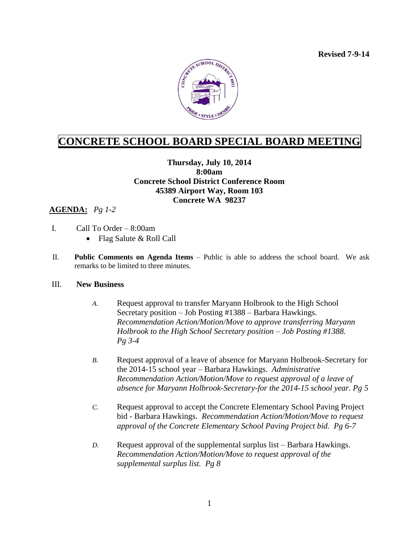**Revised 7-9-14**



## **CONCRETE SCHOOL BOARD SPECIAL BOARD MEETING**

## **Thursday, July 10, 2014 8:00am Concrete School District Conference Room 45389 Airport Way, Room 103 Concrete WA 98237**

## **AGENDA:** *Pg 1-2*

- I. Call To Order 8:00am
	- Flag Salute & Roll Call
- II. **Public Comments on Agenda Items** Public is able to address the school board. We ask remarks to be limited to three minutes.

## III. **New Business**

- *A.* Request approval to transfer Maryann Holbrook to the High School Secretary position – Job Posting #1388 – Barbara Hawkings. *Recommendation Action/Motion/Move to approve transferring Maryann Holbrook to the High School Secretary position – Job Posting #1388. Pg 3-4*
- *B.* Request approval of a leave of absence for Maryann Holbrook-Secretary for the 2014-15 school year – Barbara Hawkings. *Administrative Recommendation Action/Motion/Move to request approval of a leave of absence for Maryann Holbrook-Secretary-for the 2014-15 school year. Pg 5*
- *C.* Request approval to accept the Concrete Elementary School Paving Project bid - Barbara Hawkings. *Recommendation Action/Motion/Move to request approval of the Concrete Elementary School Paving Project bid. Pg 6-7*
- *D.* Request approval of the supplemental surplus list Barbara Hawkings. *Recommendation Action/Motion/Move to request approval of the supplemental surplus list. Pg 8*